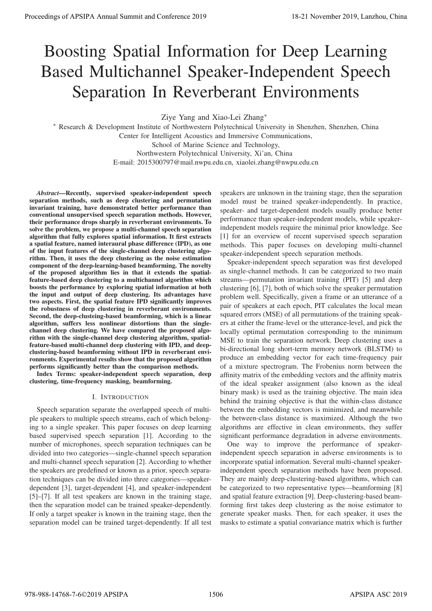# Boosting Spatial Information for Deep Learning Based Multichannel Speaker-Independent Speech Separation In Reverberant Environments

Ziye Yang and Xiao-Lei Zhang∗

∗ Research & Development Institute of Northwestern Polytechnical University in Shenzhen, Shenzhen, China Center for Intelligent Acoustics and Immersive Communications, School of Marine Science and Technology, Northwestern Polytechnical University, Xi'an, China E-mail: 2015300797@mail.nwpu.edu.cn, xiaolei.zhang@nwpu.edu.cn

*Abstract*—Recently, supervised speaker-independent speech separation methods, such as deep clustering and permutation invariant training, have demonstrated better performance than conventional unsupervised speech separation methods. However, their performance drops sharply in reverberant environments. To solve the problem, we propose a multi-channel speech separation algorithm that fully explores spatial information. It first extracts a spatial feature, named interaural phase difference (IPD), as one of the input features of the single-channel deep clustering algorithm. Then, it uses the deep clustering as the noise estimation component of the deep-learning-based beamforming. The novelty of the proposed algorithm lies in that it extends the spatialfeature-based deep clustering to a multichannel algorithm which boosts the performance by exploring spatial information at both the input and output of deep clustering. Its advantages have two aspects. First, the spatial feature IPD significantly improves the robustness of deep clustering in reverberant environments. Second, the deep-clusteing-based beamforming, which is a linear algorithm, suffers less nonlinear distortions than the singlechannel deep clustering. We have compared the proposed algorithm with the single-channel deep clustering algorithm, spatialfeature-based multi-channel deep clustering with IPD, and deepclustering-based beamforming without IPD in reverberant environments. Experimental results show that the proposed algorithm performs significantly better than the comparison methods.

Index Terms: speaker-independent speech separation, deep clustering, time-frequency masking, beamforming.

# I. INTRODUCTION

Speech separation separate the overlapped speech of multiple speakers to multiple speech streams, each of which belonging to a single speaker. This paper focuses on deep learning based supervised speech separation [1]. According to the number of microphones, speech separation techniques can be divided into two categories—single-channel speech separation and multi-channel speech separation [2]. According to whether the speakers are predefined or known as a prior, speech separation techniques can be divided into three categories—speakerdependent [3], target-dependent [4], and speaker-independent [5]–[7]. If all test speakers are known in the training stage, then the separation model can be trained speaker-dependently. If only a target speaker is known in the training stage, then the separation model can be trained target-dependently. If all test

speakers are unknown in the training stage, then the separation model must be trained speaker-independently. In practice, speaker- and target-dependent models usually produce better performance than speaker-independent models, while speakerindependent models require the minimal prior knowledge. See [1] for an overview of recent supervised speech separation methods. This paper focuses on developing multi-channel speaker-independent speech separation methods.

Speaker-independent speech separation was first developed as single-channel methods. It can be categorized to two main streams—permutation invariant training (PIT) [5] and deep clustering [6], [7], both of which solve the speaker permutation problem well. Specifically, given a frame or an utterance of a pair of speakers at each epoch, PIT calculates the local mean squared errors (MSE) of all permutations of the training speakers at either the frame-level or the utterance-level, and pick the locally optimal permutation corresponding to the minimum MSE to train the separation network. Deep clustering uses a bi-directional long short-term memory network (BLSTM) to produce an embedding vector for each time-frequency pair of a mixture spectrogram. The Frobenius norm between the affinity matrix of the embedding vectors and the affinity matrix of the ideal speaker assignment (also known as the ideal binary mask) is used as the training objective. The main idea behind the training objective is that the within-class distance between the embedding vectors is minimized, and meanwhile the between-class distance is maximized. Although the two algorithms are effective in clean environments, they suffer significant performance degradation in adverse environments. **Process of APSIPA Annual Summit at Co-Exception** 2019<br> **Boosting Spatial Information for Deep Learning Based Multichannel Specific Conference 2019**<br> **Separation In Reverberant Environments of APSIPA and Conference 2019**<br>

One way to improve the performance of speakerindependent speech separation in adverse environments is to incorporate spatial information. Several multi-channel speakerindependent speech separation methods have been proposed. They are mainly deep-clustering-based algorithms, which can be categorized to two representative types—beamforming [8] and spatial feature extraction [9]. Deep-clustering-based beamforming first takes deep clustering as the noise estimator to generate speaker masks. Then, for each speaker, it uses the masks to estimate a spatial convariance matrix which is further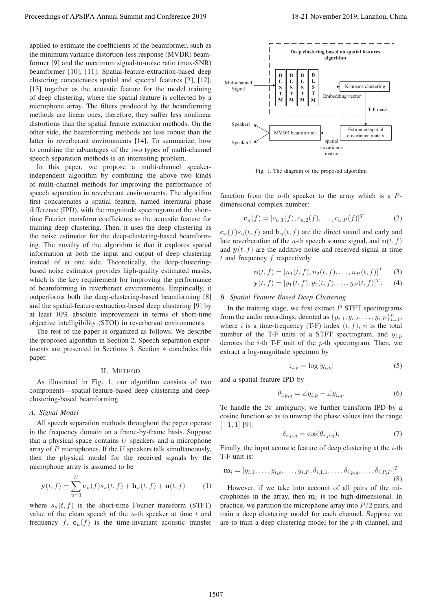applied to estimate the coefficients of the beamformer, such as the minimum variance distortion-less response (MVDR) beamformer [9] and the maximum signal-to-noise ratio (max-SNR) beamformer [10], [11]. Spatial-feature-extraction-based deep clustering concatenates spatial and spectral features [3], [12], [13] together as the acoustic feature for the model training of deep clustering, where the spatial feature is collected by a microphone array. The filters produced by the beamforming methods are linear ones, therefore, they suffer less nonlinear distortions than the spatial feature extraction methods. On the other side, the beamforming methods are less robust than the latter in reverberant environments [14]. To summarize, how to combine the advantages of the two types of multi-channel speech separation methods is an interesting problem.

In this paper, we propose a multi-channel speakerindependent algorithm by combining the above two kinds of multi-channel methods for improving the performance of speech separation in reverberant environments. The algorithm first concatenates a spatial feature, named interaural phase difference (IPD), with the magnitude spectrogram of the shorttime Fourier transform coefficients as the acoustic feature for training deep clustering. Then, it uses the deep clustering as the noise estimator for the deep-clustering-based beamforming. The novelty of the algorithm is that it explores spatial information at both the input and output of deep clustering instead of at one side. Theoretically, the deep-clusteringbased noise estimator provides high-quality estimated masks, which is the key requirement for improving the performance of beamforming in reverberant environments. Empirically, it outperforms both the deep-clustering-based beamforming [8] and the spatial-feature-extraction-based deep clustering [9] by at least 10% absolute improvement in terms of short-time objective intelligibility (STOI) in reverberant environments. Procedure of APSIPA Annual Summit and Conference 2019<br>
The first increase the effect of the bosonic conference 2019 in the effect of the conference 2019 in the effect of the conference 2019 in the effect of the conference

The rest of the paper is organized as follows. We describe the proposed algorithm in Section 2. Speech separation experiments are presented in Sections 3. Section 4 concludes this paper.

## II. METHOD

As illustrated in Fig. 1, our algorithm consists of two components—spatial-feature-based deep clustering and deepclustering-based beamforming.

### *A. Signal Model*

All speech separation methods throughout the paper operate in the frequency domain on a frame-by-frame basis. Suppose that a physical space contains  $U$  speakers and a microphone array of  $P$  microphones. If the  $U$  speakers talk simultaneously, then the physical model for the received signals by the microphone array is assumed to be

$$
\mathbf{y}(t,f) = \sum_{u=1}^{U} \mathbf{c}_u(f)s_u(t,f) + \mathbf{h}_u(t,f) + \mathbf{n}(t,f) \tag{1}
$$

where  $s_u(t, f)$  is the short-time Fourier transform (STFT) value of the clean speech of the  $u$ -th speaker at time  $t$  and frequency  $f$ ,  $\mathbf{c}_u(f)$  is the time-invariant acoustic transfer



Fig. 1. The diagram of the proposed algorithm

function from the  $u$ -th speaker to the array which is a  $P$ dimensional complex number:

$$
\mathbf{c}_u(f) = [c_{u,1}(f), c_{u,2}(f), \dots, c_{u,P}(f)]^T
$$
 (2)

 $c_u(f)s_u(t, f)$  and  $h_u(t, f)$  are the direct sound and early and late reverberation of the *u*-th speech source signal, and  $\mathbf{n}(t, f)$ and  $y(t, f)$  are the additive noise and received signal at time  $t$  and frequency  $f$  respectively:

$$
\mathbf{n}(t, f) = [n_1(t, f), n_2(t, f), \dots, n_P(t, f)]^T
$$
 (3)

$$
\mathbf{y}(t, f) = [y_1(t, f), y_2(t, f), \dots, y_P(t, f)]^T.
$$
 (4)

## *B. Spatial Feature Based Deep Clustering*

In the training stage, we first extract  $P$  STFT spectrograms from the audio recordings, denoted as  $\{y_{i,1}, y_{i,2}, \ldots, y_{i,P}\}_{i=1}^n$ , where i is a time-frequency (T-F) index  $(t, f)$ , n is the total number of the T-F units of a STFT spectrogram, and  $y_{i,p}$ denotes the  $i$ -th T-F unit of the  $p$ -th spectrogram. Then, we extract a log-magnitude spectrum by

$$
z_{i,p} = \log |y_{i,p}| \tag{5}
$$

and a spatial feature IPD by

$$
\theta_{i,p,q} = \angle y_{i,p} - \angle y_{i,q}.\tag{6}
$$

To handle the  $2\pi$  ambiguity, we further transform IPD by a cosine function so as to unwrap the phase values into the range  $[-1, 1]$  [9]:

$$
\delta_{i,p,q} = \cos(\theta_{i,p,q}).\tag{7}
$$

Finally, the input acoustic feature of deep clustering at the  $i$ -th T-F unit is:

$$
\mathbf{m}_{i} = [y_{i,1}, \dots, y_{i,p}, \dots, y_{i,P}, \delta_{i,1,1}, \dots, \delta_{i,p,q}, \dots, \delta_{i,P,P}]^{T}
$$
\n(8)

However, if we take into account of all pairs of the microphones in the array, then  $\mathbf{m}_i$  is too high-dimensional. In practice, we partition the microphone array into  $P/2$  pairs, and train a deep clustering model for each channel. Suppose we are to train a deep clustering model for the  $p$ -th channel, and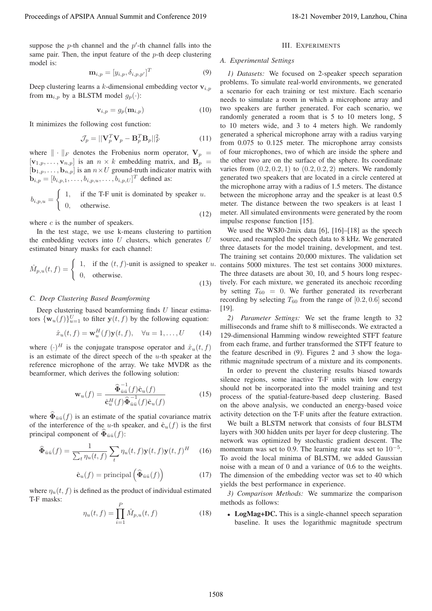suppose the  $p$ -th channel and the  $p'$ -th channel falls into the same pair. Then, the input feature of the  $p$ -th deep clustering model is:

$$
\mathbf{m}_{i,p} = [y_{i,p}, \delta_{i,p,p'}]^T
$$
\n(9)

Deep clustering learns a  $k$ -dimensional embedding vector  $\mathbf{v}_{i,p}$ from  $\mathbf{m}_{i,p}$  by a BLSTM model  $g_p(\cdot)$ :

$$
\mathbf{v}_{i,p} = g_p(\mathbf{m}_{i,p})
$$
 (10)

It minimizes the following cost function:

$$
\mathcal{J}_p = ||\mathbf{V}_p^T \mathbf{V}_p - \mathbf{B}_p^T \mathbf{B}_p||_F^2
$$
 (11)

where  $\|\cdot\|_F$  denotes the Frobenius norm operator,  $V_p =$ <br>[*v*<sub>c</sub>  $\|$  **v**<sub>1</sub>  $\|$  **i** s an  $p \times k$  embedding matrix and **B**  $[\mathbf{v}_{1,p},\ldots,\mathbf{v}_{n,p}]$  is an  $n \times k$  embedding matrix, and  $\mathbf{B}_p =$  $[\mathbf{b}_{1,p},\ldots,\mathbf{b}_{n,p}]$  is an  $n\times U$  ground-truth indicator matrix with  **defined as:** 

$$
b_{i,p,u} = \begin{cases} 1, & \text{if the T-F unit is dominated by speaker } u. \\ 0, & \text{otherwise.} \end{cases}
$$
 (12)

where  $c$  is the number of speakers.

In the test stage, we use k-means clustering to partition the embedding vectors into  $U$  clusters, which generates  $U$ estimated binary masks for each channel:

$$
\hat{M}_{p,u}(t,f) = \begin{cases} 1, & \text{if the } (t,f)\text{-unit is assigned to speaker } u, \\ 0, & \text{otherwise.} \end{cases}
$$

 $(13)$ 

## *C. Deep Clustering Based Beamforming*

Deep clustering based beamforming finds  $U$  linear estimators  ${\mathbf{w}_u(f)}_{u=1}^U$  to filter  $\mathbf{y}(t, f)$  by the following equation:

$$
\hat{x}_u(t,f) = \mathbf{w}_u^H(f)\mathbf{y}(t,f), \quad \forall u = 1,\dots, U \tag{14}
$$

where  $(\cdot)^H$  is the conjugate transpose operator and  $\hat{x}_u(t, f)$ is an estimate of the direct speech of the  $u$ -th speaker at the reference microphone of the array. We take MVDR as the beamformer, which derives the following solution:

$$
\mathbf{w}_u(f) = \frac{\widehat{\Phi}_{\bar{u}\bar{u}}^{-1}(f)\widehat{\mathbf{c}}_u(f)}{\widehat{\mathbf{c}}_u^H(f)\widehat{\Phi}_{\bar{u}\bar{u}}^{-1}(f)\widehat{\mathbf{c}}_u(f)}
$$
(15)

where  $\widehat{\Phi}_{\bar{u}\bar{u}}(f)$  is an estimate of the spatial covariance matrix of the interference of the *u*-th speaker, and  $\hat{\mathbf{c}}_u(f)$  is the first principal component of  $\overline{\mathbf{\Phi}}_{\bar{n}\bar{n}}(f)$ :

$$
\widehat{\Phi}_{\bar{u}\bar{u}}(f) = \frac{1}{\sum_{t} \eta_u(t,f)} \sum_{t} \eta_u(t,f) \mathbf{y}(t,f) \mathbf{y}(t,f)^H \quad (16)
$$

$$
\hat{\mathbf{c}}_u(f) = \text{principal}\left(\widehat{\Phi}_{\bar{u}\bar{u}}(f)\right) \tag{17}
$$

where  $\eta_u(t, f)$  is defined as the product of individual estimated T-F masks:

$$
\eta_u(t, f) = \prod_{i=1}^P \hat{M}_{p, u}(t, f)
$$
\n(18)

#### III. EXPERIMENTS

# *A. Experimental Settings*

*1) Datasets:* We focused on 2-speaker speech separation problems. To simulate real-world environments, we generated a scenario for each training or test mixture. Each scenario needs to simulate a room in which a microphone array and two speakers are further generated. For each scenario, we randomly generated a room that is 5 to 10 meters long, 5 to 10 meters wide, and 3 to 4 meters high. We randomly generated a spherical microphone array with a radius varying from 0.075 to 0.125 meter. The microphone array consists of four microphones, two of which are inside the sphere and the other two are on the surface of the sphere. Its coordinate varies from  $(0.2, 0.2, 1)$  to  $(0.2, 0.2, 2)$  meters. We randomly generated two speakers that are located in a circle centered at the microphone array with a radius of 1.5 meters. The distance between the microphone array and the speaker is at least 0.5 meter. The distance between the two speakers is at least 1 meter. All simulated environments were generated by the room impulse response function [15]. Proceeding of APSIPA Annual Summit at Co-Green 2019<br>
such as  $\frac{1}{2}$  of the state in all points of the signal content in all points of the state in a state in a state in a state of the signal content in the state in a s

We used the WSJ0-2mix data [6], [16]–[18] as the speech source, and resampled the speech data to 8 kHz. We generated three datasets for the model training, development, and test. The training set contains 20,000 mixtures. The validation set contains 5000 mixtures. The test set contains 3000 mixtures. The three datasets are about 30, 10, and 5 hours long respectively. For each mixture, we generated its anechoic recording by setting  $T_{60} = 0$ . We further generated its reverberant recording by selecting  $T_{60}$  from the range of [0.2, 0.6] second [19].

*2) Parameter Settings:* We set the frame length to 32 milliseconds and frame shift to 8 milliseconds. We extracted a 129-dimensional Hamming window reweighted STFT feature from each frame, and further transformed the STFT feature to the feature described in (9). Figures 2 and 3 show the logarithmic magnitude spectrum of a mixture and its components.

In order to prevent the clustering results biased towards silence regions, some inactive T-F units with low energy should not be incorporated into the model training and test process of the spatial-feature-based deep clustering. Based on the above analysis, we conducted an energy-based voice activity detection on the T-F units after the feature extraction.

We built a BLSTM network that consists of four BLSTM layers with 300 hidden units per layer for deep clustering. The network was optimized by stochastic gradient descent. The momentum was set to 0.9. The learning rate was set to  $10^{-5}$ . To avoid the local minima of BLSTM, we added Gaussian noise with a mean of 0 and a variance of 0.6 to the weights. The dimension of the embedding vector was set to 40 which yields the best performance in experience.

*3) Comparison Methods:* We summarize the comparison methods as follows:

• LogMag+DC. This is a single-channel speech separation baseline. It uses the logarithmic magnitude spectrum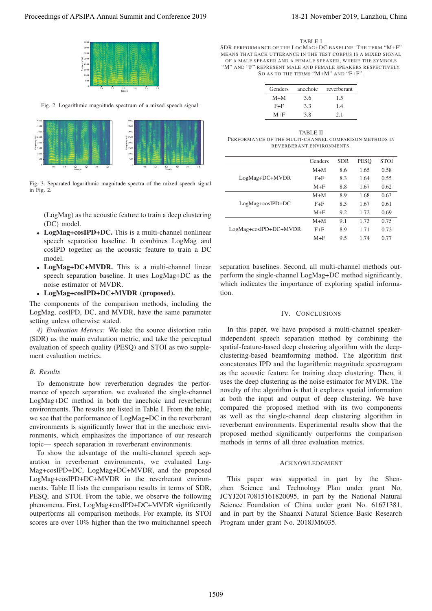

Fig. 2. Logarithmic magnitude spectrum of a mixed speech signal.



Fig. 3. Separated logarithmic magnitude spectra of the mixed speech signal in Fig. 2.

(LogMag) as the acoustic feature to train a deep clustering (DC) model.

- LogMag+cosIPD+DC. This is a multi-channel nonlinear speech separation baseline. It combines LogMag and cosIPD together as the acoustic feature to train a DC model.
- LogMag+DC+MVDR. This is a multi-channel linear speech separation baseline. It uses LogMag+DC as the noise estimator of MVDR.
- LogMag+cosIPD+DC+MVDR (proposed).

The components of the comparison methods, including the LogMag, cosIPD, DC, and MVDR, have the same parameter setting unless otherwise stated.

*4) Evaluation Metrics:* We take the source distortion ratio (SDR) as the main evaluation metric, and take the perceptual evaluation of speech quality (PESQ) and STOI as two supplement evaluation metrics.

# *B. Results*

To demonstrate how reverberation degrades the performance of speech separation, we evaluated the single-channel LogMag+DC method in both the anechoic and reverberant environments. The results are listed in Table I. From the table, we see that the performance of LogMag+DC in the reverberant environments is significantly lower that in the anechoic environments, which emphasizes the importance of our research topic— speech separation in reverberant environments.

To show the advantage of the multi-channel speech separation in reverberant environments, we evaluated Log-Mag+cosIPD+DC, LogMag+DC+MVDR, and the proposed LogMag+cosIPD+DC+MVDR in the reverberant environments. Table II lists the comparison results in terms of SDR, PESQ, and STOI. From the table, we observe the following phenomena. First, LogMag+cosIPD+DC+MVDR significantly outperforms all comparison methods. For example, its STOI scores are over 10% higher than the two multichannel speech

TABLE I

SDR PERFORMANCE OF THE LOGMAG+DC BASELINE. THE TERM "M+F" MEANS THAT EACH UTTERANCE IN THE TEST CORPUS IS A MIXED SIGNAL OF A MALE SPEAKER AND A FEMALE SPEAKER, WHERE THE SYMBOLS "M" AND "F" REPRESENT MALE AND FEMALE SPEAKERS RESPECTIVELY. SO AS TO THE TERMS "M+M" AND "F+F".

| Genders | anechoic | reverberant |
|---------|----------|-------------|
| $M+M$   | 3.6      | 1.5         |
| $F + F$ | 3.3      | 14          |
| $M + F$ | 3.8      | 21          |

TABLE II PERFORMANCE OF THE MULTI-CHANNEL COMPARISON METHODS IN REVERBERANT ENVIRONMENTS.

|                        | Genders | <b>SDR</b> | <b>PESO</b> | <b>STOI</b> |
|------------------------|---------|------------|-------------|-------------|
|                        | $M+M$   | 8.6        | 1.65        | 0.58        |
| LogMag+DC+MVDR         | $F + F$ | 8.3        | 1.64        | 0.55        |
|                        | $M + F$ | 8.8        | 1.67        | 0.62        |
|                        | $M+M$   | 8.9        | 1.68        | 0.63        |
| $LogMag + cosIPD + DC$ | $F + F$ | 8.5        | 1.67        | 0.61        |
|                        | $M + F$ | 9.2        | 1.72        | 0.69        |
|                        | $M+M$   | 9.1        | 1.73        | 0.75        |
| LogMag+cosIPD+DC+MVDR  | $F + F$ | 8.9        | 1.71        | 0.72        |
|                        | $M + F$ | 9.5        | 1.74        | 0.77        |

separation baselines. Second, all multi-channel methods outperform the single-channel LogMag+DC method significantly, which indicates the importance of exploring spatial information.

## IV. CONCLUSIONS

In this paper, we have proposed a multi-channel speakerindependent speech separation method by combining the spatial-feature-based deep clustering algorithm with the deepclustering-based beamforming method. The algorithm first concatenates IPD and the logarithmic magnitude spectrogram as the acoustic feature for training deep clustering. Then, it uses the deep clustering as the noise estimator for MVDR. The novelty of the algorithm is that it explores spatial information at both the input and output of deep clustering. We have compared the proposed method with its two components as well as the single-channel deep clustering algorithm in reverberant environments. Experimental results show that the proposed method significantly outperforms the comparison methods in terms of all three evaluation metrics. Proceeding of APSIPA Annual Summit and Conference 2019<br>
Proceedings of APSIPA Annual Summit and Conference 2019<br>
The Annual Summit and Conference 2019<br>
The Annual Summit and Conference 2019<br>
The Annual Summit and Conferen

## ACKNOWLEDGMENT

This paper was supported in part by the Shenzhen Science and Technology Plan under grant No. JCYJ20170815161820095, in part by the National Natural Science Foundation of China under grant No. 61671381, and in part by the Shaanxi Natural Science Basic Research Program under grant No. 2018JM6035.